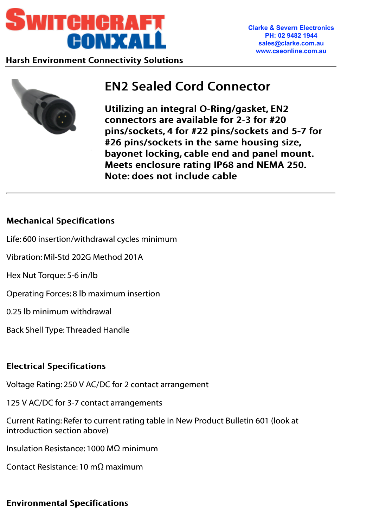



# EN2 Sealed Cord Connector EN2 Sealed Cord Connector

Utilizing an integral O-Ring/gasket, EN2 connectors are available for 2-3 for #20 connectors are available for 2-3 for #20 pins/sockets, 4 for #22 pins/sockets and 5-7 for #26 pins/sockets in the same housing size, bayonet locking, cable end and panel mount. Meets enclosure rating IP68 and NEMA 250. Note: does not include cable

### Mechanical Specifications Mechanical Specifications

- Life: 600 insertion/withdrawal cycles minimum
- Vibration: Mil-Std 202G Method 201A
- Hex Nut Torque: 5-6 in/lb
- Operating Forces: 8 lb maximum insertion
- 0.25 lb minimum withdrawal
- Back Shell Type: Threaded Handle

## Electrical Specifications Electrical Specifications

- Voltage Rating: 250 V AC/DC for 2 contact arrangement
- 125 V AC/DC for 3-7 contact arrangements
- Current Rating: Refer to current rating table in New Product Bulletin 601 (look at introduction section above)
- Insulation Resistance: 1000 MΩ minimum
- Contact Resistance: 10 mΩ maximum

## Environmental Specifications Environmental Specifications